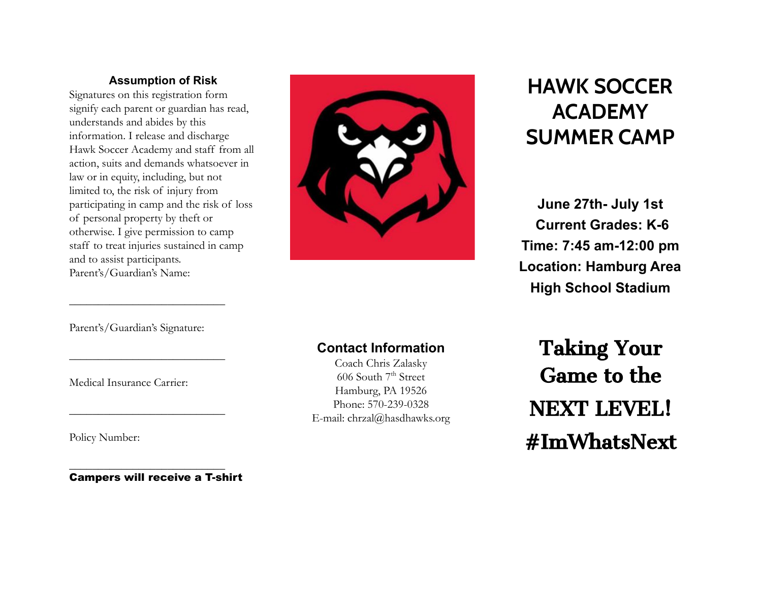### **Assumption of Risk**

Signatures on this registration form signify each parent or guardian has read, understands and abides by this information. I release and discharge Hawk Soccer Academy and staff from all action, suits and demands whatsoever in law or in equity, including, but not limited to, the risk of injury from participating in camp and the risk of loss of personal property by theft or otherwise. I give permission to camp staff to treat injuries sustained in camp and to assist participants. Parent's/Guardian's Name:



# **HAWK SOCCER ACADEMY SUMMER CAMP**

**June 27th- July 1st Current Grades: K-6 Time: 7:45 am-12:00 pm Location: Hamburg Area High School Stadium**

Parent's/Guardian's Signature:

 $\overline{\phantom{a}}$  , where  $\overline{\phantom{a}}$  , where  $\overline{\phantom{a}}$  , where  $\overline{\phantom{a}}$ 

 $\overline{\phantom{a}}$  , where  $\overline{\phantom{a}}$  , where  $\overline{\phantom{a}}$  , where  $\overline{\phantom{a}}$ 

 $\overline{\phantom{a}}$  , where  $\overline{\phantom{a}}$  , where  $\overline{\phantom{a}}$  , where  $\overline{\phantom{a}}$ 

Medical Insurance Carrier:

Policy Number:

Campers will receive a T-shirt

 $\overline{\phantom{a}}$  , where  $\overline{\phantom{a}}$  , where  $\overline{\phantom{a}}$  , where  $\overline{\phantom{a}}$ 

# **Contact Information**

Coach Chris Zalasky  $606$  South  $7<sup>th</sup>$  Street Hamburg, PA 19526 Phone: 570-239-0328 E-mail: chrzal@hasdhawks.org

Taking Your Game to the NEXT LEVEL! #ImWhatsNext